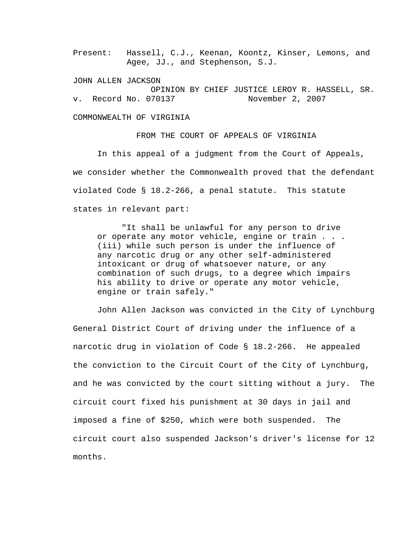Present: Hassell, C.J., Keenan, Koontz, Kinser, Lemons, and Agee, JJ., and Stephenson, S.J.

JOHN ALLEN JACKSON OPINION BY CHIEF JUSTICE LEROY R. HASSELL, SR. v. Record No. 070137 November 2, 2007

COMMONWEALTH OF VIRGINIA

 In this appeal of a judgment from the Court of Appeals, we consider whether the Commonwealth proved that the defendant violated Code § 18.2-266, a penal statute. This statute states in relevant part:

FROM THE COURT OF APPEALS OF VIRGINIA

"It shall be unlawful for any person to drive or operate any motor vehicle, engine or train . . . (iii) while such person is under the influence of any narcotic drug or any other self-administered intoxicant or drug of whatsoever nature, or any combination of such drugs, to a degree which impairs his ability to drive or operate any motor vehicle, engine or train safely."

John Allen Jackson was convicted in the City of Lynchburg General District Court of driving under the influence of a narcotic drug in violation of Code § 18.2-266. He appealed the conviction to the Circuit Court of the City of Lynchburg, and he was convicted by the court sitting without a jury. The circuit court fixed his punishment at 30 days in jail and imposed a fine of \$250, which were both suspended. The circuit court also suspended Jackson's driver's license for 12 months.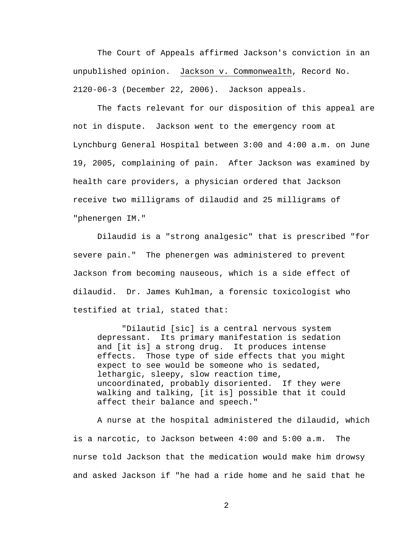The Court of Appeals affirmed Jackson's conviction in an unpublished opinion. Jackson v. Commonwealth, Record No. 2120-06-3 (December 22, 2006). Jackson appeals.

 The facts relevant for our disposition of this appeal are not in dispute. Jackson went to the emergency room at Lynchburg General Hospital between 3:00 and 4:00 a.m. on June 19, 2005, complaining of pain. After Jackson was examined by health care providers, a physician ordered that Jackson receive two milligrams of dilaudid and 25 milligrams of "phenergen IM."

 Dilaudid is a "strong analgesic" that is prescribed "for severe pain." The phenergen was administered to prevent Jackson from becoming nauseous, which is a side effect of dilaudid. Dr. James Kuhlman, a forensic toxicologist who testified at trial, stated that:

"Dilautid [sic] is a central nervous system depressant. Its primary manifestation is sedation and [it is] a strong drug. It produces intense effects. Those type of side effects that you might expect to see would be someone who is sedated, lethargic, sleepy, slow reaction time, uncoordinated, probably disoriented. If they were walking and talking, [it is] possible that it could affect their balance and speech."

A nurse at the hospital administered the dilaudid, which is a narcotic, to Jackson between 4:00 and 5:00 a.m. The nurse told Jackson that the medication would make him drowsy and asked Jackson if "he had a ride home and he said that he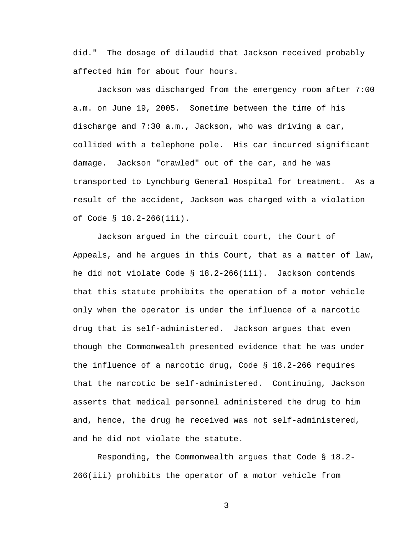did." The dosage of dilaudid that Jackson received probably affected him for about four hours.

 Jackson was discharged from the emergency room after 7:00 a.m. on June 19, 2005. Sometime between the time of his discharge and 7:30 a.m., Jackson, who was driving a car, collided with a telephone pole. His car incurred significant damage. Jackson "crawled" out of the car, and he was transported to Lynchburg General Hospital for treatment. As a result of the accident, Jackson was charged with a violation of Code § 18.2-266(iii).

 Jackson argued in the circuit court, the Court of Appeals, and he argues in this Court, that as a matter of law, he did not violate Code § 18.2-266(iii). Jackson contends that this statute prohibits the operation of a motor vehicle only when the operator is under the influence of a narcotic drug that is self-administered. Jackson argues that even though the Commonwealth presented evidence that he was under the influence of a narcotic drug, Code § 18.2-266 requires that the narcotic be self-administered. Continuing, Jackson asserts that medical personnel administered the drug to him and, hence, the drug he received was not self-administered, and he did not violate the statute.

Responding, the Commonwealth argues that Code § 18.2- 266(iii) prohibits the operator of a motor vehicle from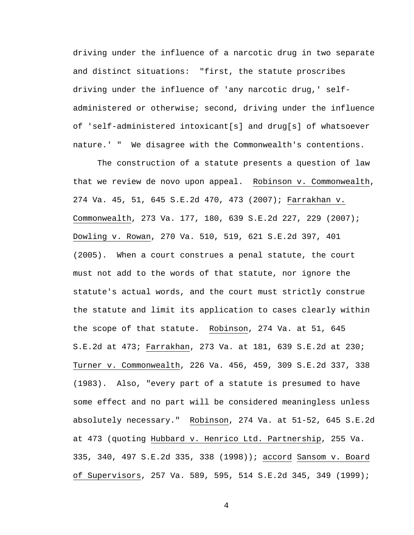driving under the influence of a narcotic drug in two separate and distinct situations: "first, the statute proscribes driving under the influence of 'any narcotic drug,' selfadministered or otherwise; second, driving under the influence of 'self-administered intoxicant[s] and drug[s] of whatsoever nature.' " We disagree with the Commonwealth's contentions.

 The construction of a statute presents a question of law that we review de novo upon appeal. Robinson v. Commonwealth, 274 Va. 45, 51, 645 S.E.2d 470, 473 (2007); Farrakhan v. Commonwealth, 273 Va. 177, 180, 639 S.E.2d 227, 229 (2007); Dowling v. Rowan, 270 Va. 510, 519, 621 S.E.2d 397, 401 (2005). When a court construes a penal statute, the court must not add to the words of that statute, nor ignore the statute's actual words, and the court must strictly construe the statute and limit its application to cases clearly within the scope of that statute. Robinson, 274 Va. at 51, 645 S.E.2d at 473; Farrakhan, 273 Va. at 181, 639 S.E.2d at 230; Turner v. Commonwealth, 226 Va. 456, 459, 309 S.E.2d 337, 338 (1983). Also, "every part of a statute is presumed to have some effect and no part will be considered meaningless unless absolutely necessary." Robinson, 274 Va. at 51-52, 645 S.E.2d at 473 (quoting Hubbard v. Henrico Ltd. Partnership, 255 Va. 335, 340, 497 S.E.2d 335, 338 (1998)); accord Sansom v. Board of Supervisors, 257 Va. 589, 595, 514 S.E.2d 345, 349 (1999);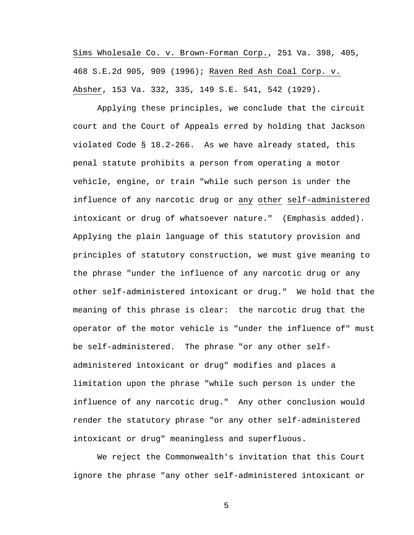Sims Wholesale Co. v. Brown-Forman Corp., 251 Va. 398, 405, 468 S.E.2d 905, 909 (1996); Raven Red Ash Coal Corp. v. Absher, 153 Va. 332, 335, 149 S.E. 541, 542 (1929).

 Applying these principles, we conclude that the circuit court and the Court of Appeals erred by holding that Jackson violated Code § 18.2-266. As we have already stated, this penal statute prohibits a person from operating a motor vehicle, engine, or train "while such person is under the influence of any narcotic drug or any other self-administered intoxicant or drug of whatsoever nature." (Emphasis added). Applying the plain language of this statutory provision and principles of statutory construction, we must give meaning to the phrase "under the influence of any narcotic drug or any other self-administered intoxicant or drug." We hold that the meaning of this phrase is clear: the narcotic drug that the operator of the motor vehicle is "under the influence of" must be self-administered. The phrase "or any other selfadministered intoxicant or drug" modifies and places a limitation upon the phrase "while such person is under the influence of any narcotic drug." Any other conclusion would render the statutory phrase "or any other self-administered intoxicant or drug" meaningless and superfluous.

 We reject the Commonwealth's invitation that this Court ignore the phrase "any other self-administered intoxicant or